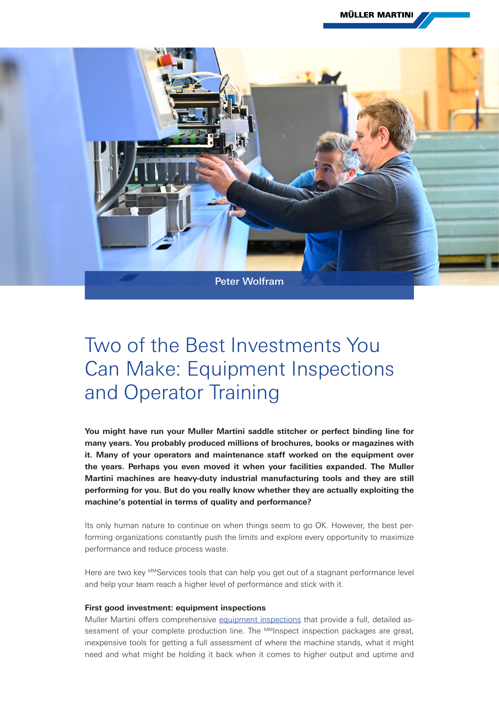**MÜLLER MARTINI** 



## Two of the Best Investments You Can Make: Equipment Inspections and Operator Training

**You might have run your Muller Martini saddle stitcher or perfect binding line for many years. You probably produced millions of brochures, books or magazines with it. Many of your operators and maintenance staff worked on the equipment over the years. Perhaps you even moved it when your facilities expanded. The Muller Martini machines are heavy-duty industrial manufacturing tools and they are still performing for you. But do you really know whether they are actually exploiting the machine's potential in terms of quality and performance?**

Its only human nature to continue on when things seem to go OK. However, the best performing organizations constantly push the limits and explore every opportunity to maximize performance and reduce process waste.

Here are two key MMServices tools that can help you get out of a stagnant performance level and help your team reach a higher level of performance and stick with it.

## **First good investment: equipment inspections**

Muller Martini offers comprehensive [equipment inspections](https://www.mullermartini.com/en/services/#Inspect) that provide a full, detailed assessment of your complete production line. The MMInspect inspection packages are great, inexpensive tools for getting a full assessment of where the machine stands, what it might need and what might be holding it back when it comes to higher output and uptime and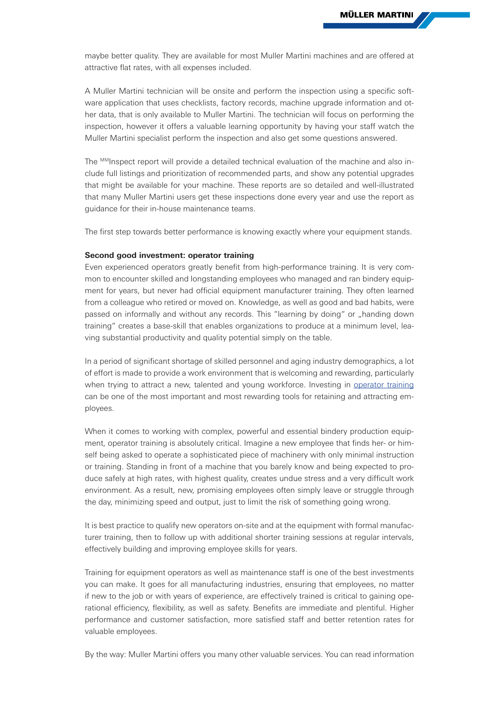maybe better quality. They are available for most Muller Martini machines and are offered at attractive flat rates, with all expenses included.

A Muller Martini technician will be onsite and perform the inspection using a specific software application that uses checklists, factory records, machine upgrade information and other data, that is only available to Muller Martini. The technician will focus on performing the inspection, however it offers a valuable learning opportunity by having your staff watch the Muller Martini specialist perform the inspection and also get some questions answered.

The <sup>MM</sup>Inspect report will provide a detailed technical evaluation of the machine and also include full listings and prioritization of recommended parts, and show any potential upgrades that might be available for your machine. These reports are so detailed and well-illustrated that many Muller Martini users get these inspections done every year and use the report as guidance for their in-house maintenance teams.

The first step towards better performance is knowing exactly where your equipment stands.

## **Second good investment: operator training**

Even experienced operators greatly benefit from high-performance training. It is very common to encounter skilled and longstanding employees who managed and ran bindery equipment for years, but never had official equipment manufacturer training. They often learned from a colleague who retired or moved on. Knowledge, as well as good and bad habits, were passed on informally and without any records. This "learning by doing" or "handing down training" creates a base-skill that enables organizations to produce at a minimum level, leaving substantial productivity and quality potential simply on the table.

In a period of significant shortage of skilled personnel and aging industry demographics, a lot of effort is made to provide a work environment that is welcoming and rewarding, particularly when trying to attract a new, talented and young workforce. Investing in [operator training](https://www.mullermartini.com/en/services/#Improve) can be one of the most important and most rewarding tools for retaining and attracting employees.

When it comes to working with complex, powerful and essential bindery production equipment, operator training is absolutely critical. Imagine a new employee that finds her- or himself being asked to operate a sophisticated piece of machinery with only minimal instruction or training. Standing in front of a machine that you barely know and being expected to produce safely at high rates, with highest quality, creates undue stress and a very difficult work environment. As a result, new, promising employees often simply leave or struggle through the day, minimizing speed and output, just to limit the risk of something going wrong.

It is best practice to qualify new operators on-site and at the equipment with formal manufacturer training, then to follow up with additional shorter training sessions at regular intervals, effectively building and improving employee skills for years.

Training for equipment operators as well as maintenance staff is one of the best investments you can make. It goes for all manufacturing industries, ensuring that employees, no matter if new to the job or with years of experience, are effectively trained is critical to gaining operational efficiency, flexibility, as well as safety. Benefits are immediate and plentiful. Higher performance and customer satisfaction, more satisfied staff and better retention rates for valuable employees.

By the way: Muller Martini offers you many other valuable services. You can read information